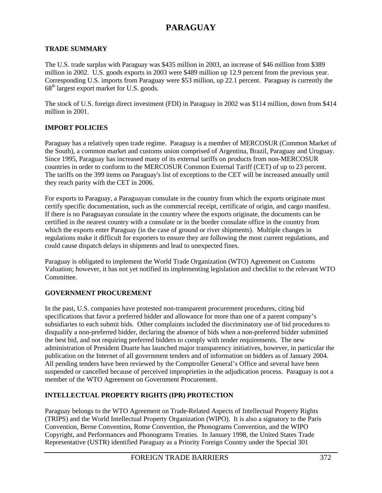# **PARAGUAY**

#### **TRADE SUMMARY**

The U.S. trade surplus with Paraguay was \$435 million in 2003, an increase of \$46 million from \$389 million in 2002. U.S. goods exports in 2003 were \$489 million up 12.9 percent from the previous year. Corresponding U.S. imports from Paraguay were \$53 million, up 22.1 percent. Paraguay is currently the  $68<sup>th</sup>$  largest export market for U.S. goods.

The stock of U.S. foreign direct investment (FDI) in Paraguay in 2002 was \$114 million, down from \$414 million in 2001.

#### **IMPORT POLICIES**

Paraguay has a relatively open trade regime. Paraguay is a member of MERCOSUR (Common Market of the South), a common market and customs union comprised of Argentina, Brazil, Paraguay and Uruguay. Since 1995, Paraguay has increased many of its external tariffs on products from non-MERCOSUR countries in order to conform to the MERCOSUR Common External Tariff (CET) of up to 23 percent. The tariffs on the 399 items on Paraguay's list of exceptions to the CET will be increased annually until they reach parity with the CET in 2006.

For exports to Paraguay, a Paraguayan consulate in the country from which the exports originate must certify specific documentation, such as the commercial receipt, certificate of origin, and cargo manifest. If there is no Paraguayan consulate in the country where the exports originate, the documents can be certified in the nearest country with a consulate or in the border consulate office in the country from which the exports enter Paraguay (in the case of ground or river shipments). Multiple changes in regulations make it difficult for exporters to ensure they are following the most current regulations, and could cause dispatch delays in shipments and lead to unexpected fines.

Paraguay is obligated to implement the World Trade Organization (WTO) Agreement on Customs Valuation; however, it has not yet notified its implementing legislation and checklist to the relevant WTO Committee.

## **GOVERNMENT PROCUREMENT**

In the past, U.S. companies have protested non-transparent procurement procedures, citing bid specifications that favor a preferred bidder and allowance for more than one of a parent company's subsidiaries to each submit bids. Other complaints included the discriminatory use of bid procedures to disqualify a non-preferred bidder, declaring the absence of bids when a non-preferred bidder submitted the best bid, and not requiring preferred bidders to comply with tender requirements. The new administration of President Duarte has launched major transparency initiatives, however, in particular the publication on the Internet of all government tenders and of information on bidders as of January 2004. All pending tenders have been reviewed by the Comptroller General's Office and several have been suspended or cancelled because of perceived improprieties in the adjudication process. Paraguay is not a member of the WTO Agreement on Government Procurement.

## **INTELLECTUAL PROPERTY RIGHTS (IPR) PROTECTION**

Paraguay belongs to the WTO Agreement on Trade-Related Aspects of Intellectual Property Rights (TRIPS) and the World Intellectual Property Organization (WIPO). It is also a signatory to the Paris Convention, Berne Convention, Rome Convention, the Phonograms Convention, and the WIPO Copyright, and Performances and Phonograms Treaties. In January 1998, the United States Trade Representative (USTR) identified Paraguay as a Priority Foreign Country under the Special 301